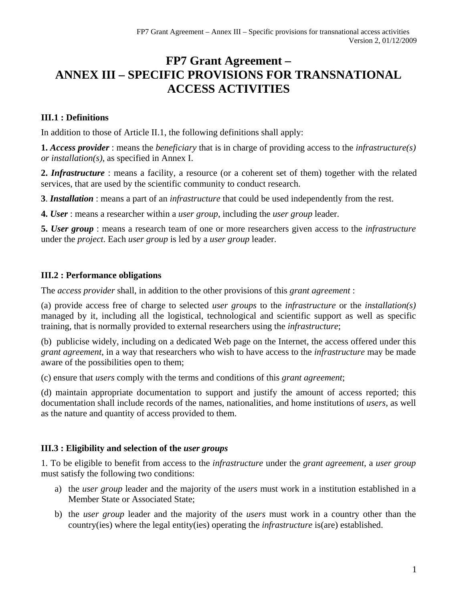# **FP7 Grant Agreement – ANNEX III – SPECIFIC PROVISIONS FOR TRANSNATIONAL ACCESS ACTIVITIES**

### **III.1 : Definitions**

In addition to those of Article II.1, the following definitions shall apply:

**1.** *Access provider* : means the *beneficiary* that is in charge of providing access to the *infrastructure(s) or installation(s)*, as specified in Annex I.

**2.** *Infrastructure* : means a facility, a resource (or a coherent set of them) together with the related services, that are used by the scientific community to conduct research.

**3**. *Installation* : means a part of an *infrastructure* that could be used independently from the rest.

**4.** *User* : means a researcher within a *user group*, including the *user group* leader.

**5.** *User group* : means a research team of one or more researchers given access to the *infrastructure*  under the *project*. Each *user group* is led by a *user group* leader.

#### **III.2 : Performance obligations**

The *access provider* shall, in addition to the other provisions of this *grant agreement* :

(a) provide access free of charge to selected *user groups* to the *infrastructure* or the *installation(s)*  managed by it, including all the logistical, technological and scientific support as well as specific training, that is normally provided to external researchers using the *infrastructure*;

(b) publicise widely, including on a dedicated Web page on the Internet, the access offered under this *grant agreement*, in a way that researchers who wish to have access to the *infrastructure* may be made aware of the possibilities open to them;

(c) ensure that *users* comply with the terms and conditions of this *grant agreement*;

(d) maintain appropriate documentation to support and justify the amount of access reported; this documentation shall include records of the names, nationalities, and home institutions of *users*, as well as the nature and quantity of access provided to them.

#### **III.3 : Eligibility and selection of the** *user groups*

1. To be eligible to benefit from access to the *infrastructure* under the *grant agreement*, a *user group*  must satisfy the following two conditions:

- a) the *user group* leader and the majority of the *users* must work in a institution established in a Member State or Associated State;
- b) the *user group* leader and the majority of the *users* must work in a country other than the country(ies) where the legal entity(ies) operating the *infrastructure* is(are) established.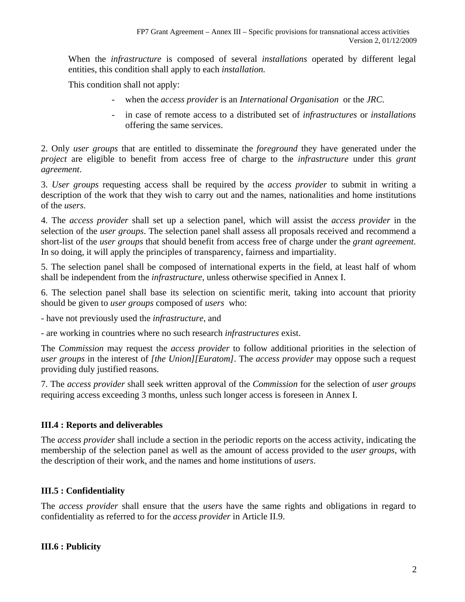When the *infrastructure* is composed of several *installations* operated by different legal entities, this condition shall apply to each *installation.* 

This condition shall not apply:

- when the *access provider* is an *International Organisation* or the *JRC*.
- in case of remote access to a distributed set of *infrastructures* or *installations* offering the same services.

2. Only *user groups* that are entitled to disseminate the *foreground* they have generated under the *project* are eligible to benefit from access free of charge to the *infrastructure* under this *grant agreement*.

3. *User groups* requesting access shall be required by the *access provider* to submit in writing a description of the work that they wish to carry out and the names, nationalities and home institutions of the *users*.

4. The *access provider* shall set up a selection panel, which will assist the *access provider* in the selection of the *user groups*. The selection panel shall assess all proposals received and recommend a short-list of the *user groups* that should benefit from access free of charge under the *grant agreement*. In so doing, it will apply the principles of transparency, fairness and impartiality.

5. The selection panel shall be composed of international experts in the field, at least half of whom shall be independent from the *infrastructure*, unless otherwise specified in Annex I.

6. The selection panel shall base its selection on scientific merit, taking into account that priority should be given to *user groups* composed of *users* who:

- have not previously used the *infrastructure*, and

- are working in countries where no such research *infrastructures* exist.

The *Commission* may request the *access provider* to follow additional priorities in the selection of *user groups* in the interest of *[the Union][Euratom]*. The *access provider* may oppose such a request providing duly justified reasons.

7. The *access provider* shall seek written approval of the *Commission* for the selection of *user groups*  requiring access exceeding 3 months, unless such longer access is foreseen in Annex I.

#### **III.4 : Reports and deliverables**

The *access provider* shall include a section in the periodic reports on the access activity, indicating the membership of the selection panel as well as the amount of access provided to the *user groups*, with the description of their work, and the names and home institutions of *users*.

#### **III.5 : Confidentiality**

The *access provider* shall ensure that the *users* have the same rights and obligations in regard to confidentiality as referred to for the *access provider* in Article II.9.

#### **III.6 : Publicity**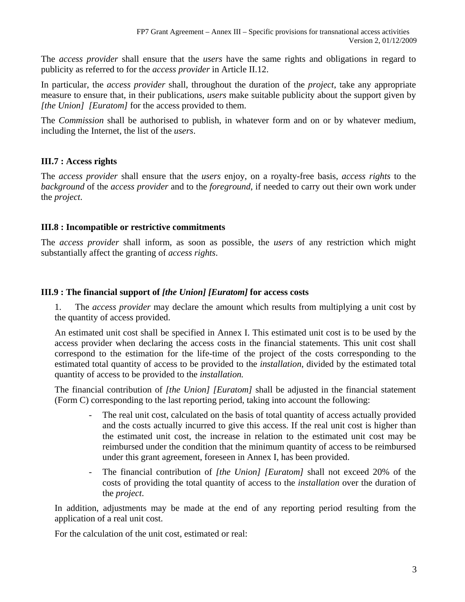The *access provider* shall ensure that the *users* have the same rights and obligations in regard to publicity as referred to for the *access provider* in Article II.12.

In particular, the *access provider* shall, throughout the duration of the *project*, take any appropriate measure to ensure that, in their publications, *users* make suitable publicity about the support given by *[the Union] [Euratom]* for the access provided to them.

The *Commission* shall be authorised to publish, in whatever form and on or by whatever medium, including the Internet, the list of the *users*.

## **III.7 : Access rights**

The *access provider* shall ensure that the *users* enjoy, on a royalty-free basis, *access rights* to the *background* of the *access provider* and to the *foreground*, if needed to carry out their own work under the *project*.

#### **III.8 : Incompatible or restrictive commitments**

The *access provider* shall inform, as soon as possible, the *users* of any restriction which might substantially affect the granting of *access rights*.

## **III.9 : The financial support of** *[the Union] [Euratom]* **for access costs**

1. The *access provider* may declare the amount which results from multiplying a unit cost by the quantity of access provided.

An estimated unit cost shall be specified in Annex I. This estimated unit cost is to be used by the access provider when declaring the access costs in the financial statements. This unit cost shall correspond to the estimation for the life-time of the project of the costs corresponding to the estimated total quantity of access to be provided to the *installation*, divided by the estimated total quantity of access to be provided to the *installation.* 

The financial contribution of *[the Union] [Euratom]* shall be adjusted in the financial statement (Form C) corresponding to the last reporting period, taking into account the following:

- The real unit cost, calculated on the basis of total quantity of access actually provided and the costs actually incurred to give this access. If the real unit cost is higher than the estimated unit cost, the increase in relation to the estimated unit cost may be reimbursed under the condition that the minimum quantity of access to be reimbursed under this grant agreement, foreseen in Annex I, has been provided.
- The financial contribution of *[the Union] [Euratom]* shall not exceed 20% of the costs of providing the total quantity of access to the *installation* over the duration of the *project*.

In addition, adjustments may be made at the end of any reporting period resulting from the application of a real unit cost.

For the calculation of the unit cost, estimated or real: